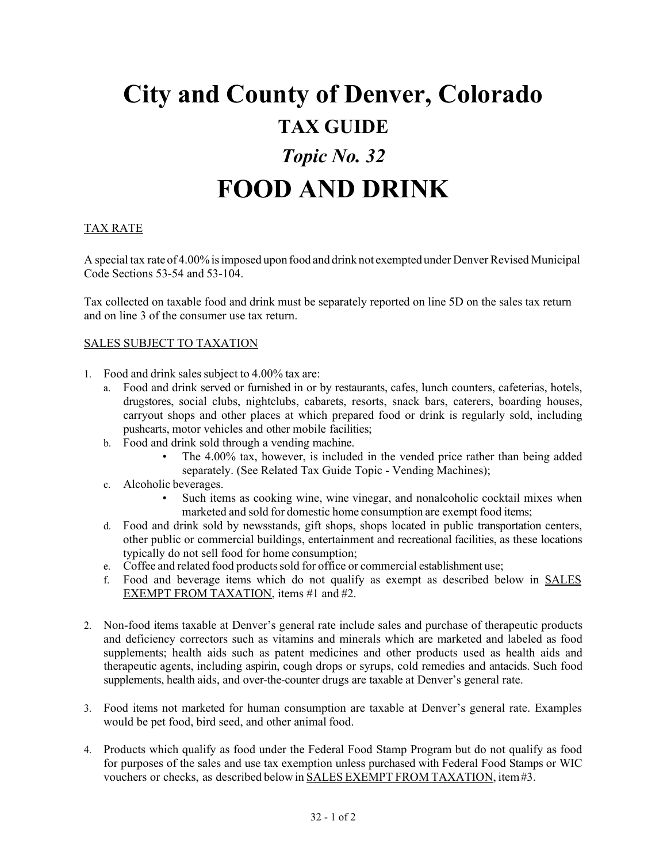## **City and County of Denver, Colorado TAX GUIDE**  *Topic No. 32*  **FOOD AND DRINK**

## TAX RATE

 A special tax rate of 4.00% is imposed upon food and drink not exempted under Denver Revised Municipal Code Sections 53-54 and 53-104.

Tax collected on taxable food and drink must be separately reported on line 5D on the sales tax return and on line 3 of the consumer use tax return.

## SALES SUBJECT TO TAXATION

- 1. Food and drink sales subject to 4.00% tax are:
	- carryout shops and other places at which prepared food or drink is regularly sold, including pushcarts, motor vehicles and other mobile facilities; a. Food and drink served or furnished in or by restaurants, cafes, lunch counters, cafeterias, hotels, drugstores, social clubs, nightclubs, cabarets, resorts, snack bars, caterers, boarding houses,
	- b. Food and drink sold through a vending machine.
		- The 4.00% tax, however, is included in the vended price rather than being added separately. (See Related Tax Guide Topic - Vending Machines);
	- c. Alcoholic beverages.
		- • Such items as cooking wine, wine vinegar, and nonalcoholic cocktail mixes when marketed and sold for domestic home consumption are exempt food items;
	- d. Food and drink sold by newsstands, gift shops, shops located in public transportation centers, other public or commercial buildings, entertainment and recreational facilities, as these locations typically do not sell food for home consumption;
	- e. Coffee and related food products sold for office or commercial establishment use;
	- EXEMPT FROM TAXATION, items #1 and #2. f. Food and beverage items which do not qualify as exempt as described below in SALES
- 2. Non-food items taxable at Denver's general rate include sales and purchase of therapeutic products and deficiency correctors such as vitamins and minerals which are marketed and labeled as food supplements; health aids such as patent medicines and other products used as health aids and therapeutic agents, including aspirin, cough drops or syrups, cold remedies and antacids. Such food supplements, health aids, and over-the-counter drugs are taxable at Denver's general rate.
- would be pet food, bird seed, and other animal food. 3. Food items not marketed for human consumption are taxable at Denver's general rate. Examples
- vouchers or checks, as described below in **SALES EXEMPT FROM TAXATION**, item #3. 4. Products which qualify as food under the Federal Food Stamp Program but do not qualify as food for purposes of the sales and use tax exemption unless purchased with Federal Food Stamps or WIC